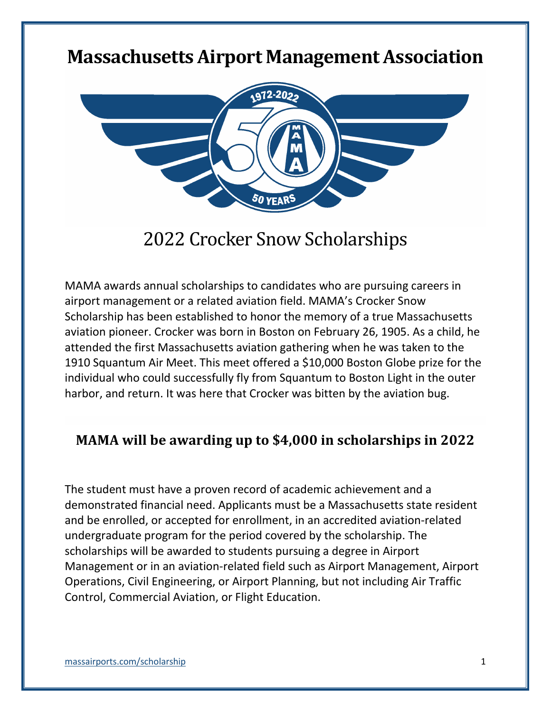## **Massachusetts Airport Management Association**



## 2022 Crocker Snow Scholarships

MAMA awards annual scholarships to candidates who are pursuing careers in airport management or a related aviation field. MAMA's Crocker Snow Scholarship has been established to honor the memory of a true Massachusetts aviation pioneer. Crocker was born in Boston on February 26, 1905. As a child, he attended the first Massachusetts aviation gathering when he was taken to the 1910 Squantum Air Meet. This meet offered a \$10,000 Boston Globe prize for the individual who could successfully fly from Squantum to Boston Light in the outer harbor, and return. It was here that Crocker was bitten by the aviation bug.

#### **MAMA will be awarding up to \$4,000 in scholarships in 2022**

The student must have a proven record of academic achievement and a demonstrated financial need. Applicants must be a Massachusetts state resident and be enrolled, or accepted for enrollment, in an accredited aviation-related undergraduate program for the period covered by the scholarship. The scholarships will be awarded to students pursuing a degree in Airport Management or in an aviation-related field such as Airport Management, Airport Operations, Civil Engineering, or Airport Planning, but not including Air Traffic Control, Commercial Aviation, or Flight Education.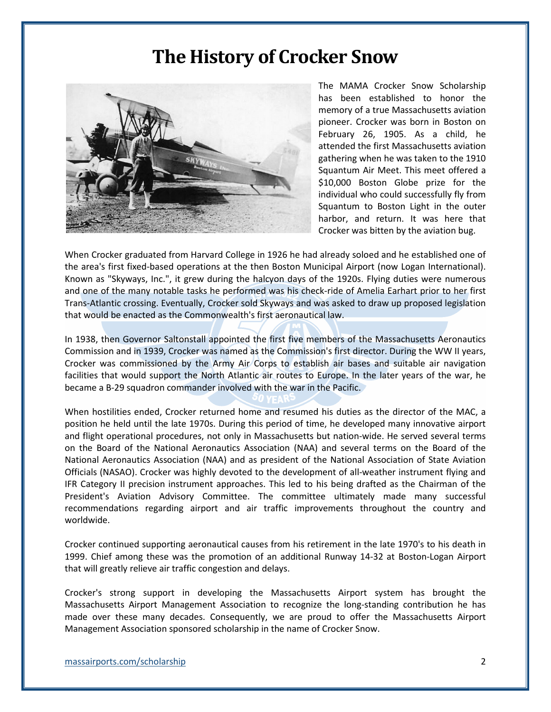### **The History of Crocker Snow**



The MAMA Crocker Snow Scholarship has been established to honor the memory of a true Massachusetts aviation pioneer. Crocker was born in Boston on February 26, 1905. As a child, he attended the first Massachusetts aviation gathering when he was taken to the 1910 Squantum Air Meet. This meet offered a \$10,000 Boston Globe prize for the individual who could successfully fly from Squantum to Boston Light in the outer harbor, and return. It was here that Crocker was bitten by the aviation bug.

When Crocker graduated from Harvard College in 1926 he had already soloed and he established one of the area's first fixed-based operations at the then Boston Municipal Airport (now Logan International). Known as "Skyways, Inc.", it grew during the halcyon days of the 1920s. Flying duties were numerous and one of the many notable tasks he performed was his check-ride of Amelia Earhart prior to her first Trans-Atlantic crossing. Eventually, Crocker sold Skyways and was asked to draw up proposed legislation that would be enacted as the Commonwealth's first aeronautical law.

In 1938, then Governor Saltonstall appointed the first five members of the Massachusetts Aeronautics Commission and in 1939, Crocker was named as the Commission's first director. During the WW II years, Crocker was commissioned by the Army Air Corps to establish air bases and suitable air navigation facilities that would support the North Atlantic air routes to Europe. In the later years of the war, he became a B-29 squadron commander involved with the war in the Pacific.

When hostilities ended, Crocker returned home and resumed his duties as the director of the MAC, a position he held until the late 1970s. During this period of time, he developed many innovative airport and flight operational procedures, not only in Massachusetts but nation-wide. He served several terms on the Board of the National Aeronautics Association (NAA) and several terms on the Board of the National Aeronautics Association (NAA) and as president of the National Association of State Aviation Officials (NASAO). Crocker was highly devoted to the development of all-weather instrument flying and IFR Category II precision instrument approaches. This led to his being drafted as the Chairman of the President's Aviation Advisory Committee. The committee ultimately made many successful recommendations regarding airport and air traffic improvements throughout the country and worldwide.

Crocker continued supporting aeronautical causes from his retirement in the late 1970's to his death in 1999. Chief among these was the promotion of an additional Runway 14-32 at Boston-Logan Airport that will greatly relieve air traffic congestion and delays.

Crocker's strong support in developing the Massachusetts Airport system has brought the Massachusetts Airport Management Association to recognize the long-standing contribution he has made over these many decades. Consequently, we are proud to offer the Massachusetts Airport Management Association sponsored scholarship in the name of Crocker Snow.